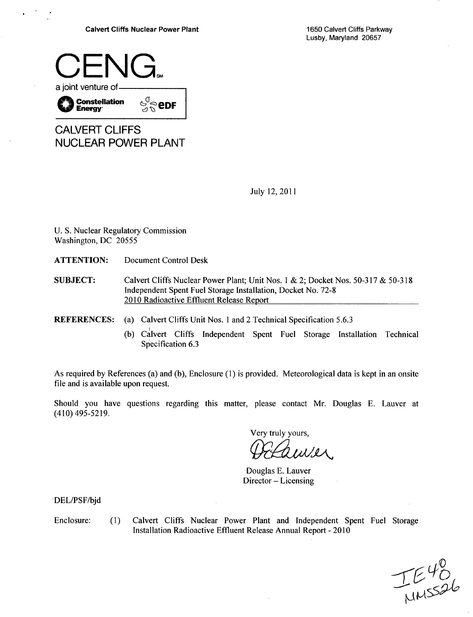Lusby, Maryland 20657



| <b>CALVERT CLIFFS</b> |  |
|-----------------------|--|
| NUCLEAR POWER PLANT   |  |

July 12, 2011

U. S. Nuclear Regulatory Commission Washington, DC 20555

ATTENTION: Document Control Desk

SUBJECT: Calvert Cliffs Nuclear Power Plant; Unit Nos. **I** & 2; Docket Nos. 50-317 & 50-318 Independent Spent Fuel Storage Installation, Docket No. 72-8 2010 Radioactive Effluent Release Report

REFERENCES: (a) Calvert Cliffs Unit Nos. 1 and 2 Technical Specification 5.6.3

(b) Calvert Cliffs Independent Spent Fuel Storage Installation Technical Specification 6.3

As required by References (a) and (b), Enclosure (1) is provided. Meteorological data is kept in an onsite file and is available upon request.

Should you have questions regarding this matter, please contact Mr. Douglas E. Lauver at (410) 495-5219.

Very truly yours,

 $uv!x$ 

Douglas E. Lauver Director - Licensing

'DEL/PSF/bjd

Enclosure: (1) Calvert Cliffs Nuclear Power Plant and Independent Spent Fuel Storage Installation Radioactive Effluent Release Annual Report - 2010

TE40<br>MMSS26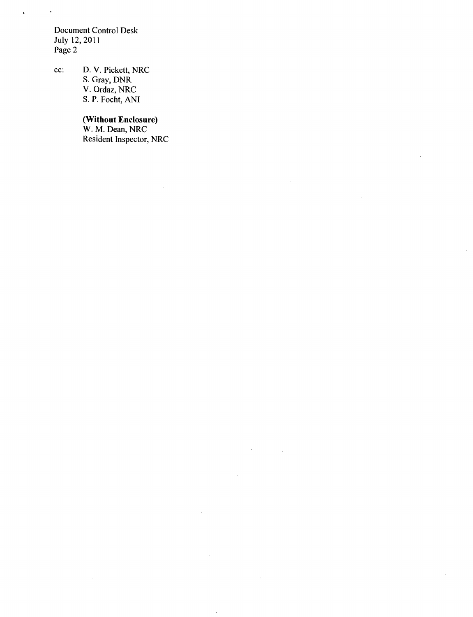Document Control Desk July 12, 2011 Page 2

 $\ddot{\phantom{a}}$ 

 $\ddot{\phantom{0}}$ 

cc: D. V. Pickett, NRC S. Gray, DNR V. Ordaz, NRC S. P. Focht, **ANI**

 $\sim$ 

#### (Without Enclosure)

W. M. Dean, NRC Resident Inspector, NRC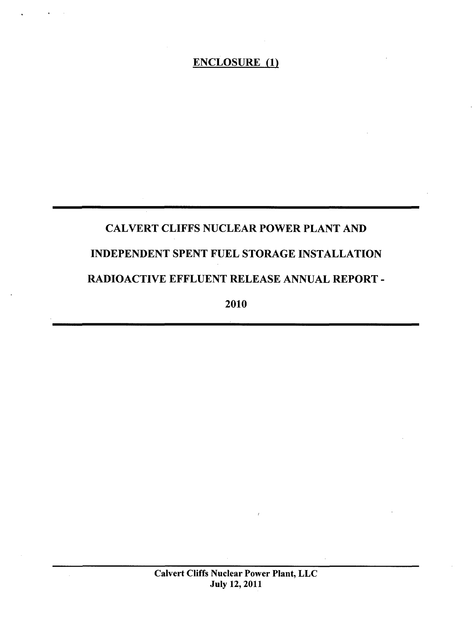# CALVERT CLIFFS NUCLEAR POWER PLANT AND INDEPENDENT SPENT FUEL STORAGE INSTALLATION RADIOACTIVE EFFLUENT RELEASE ANNUAL REPORT -

2010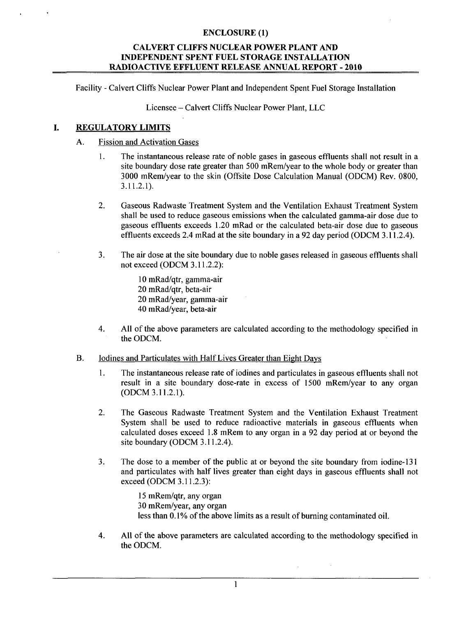## CALVERT **CLIFFS NUCLEAR** POWER **PLANT AND INDEPENDENT SPENT FUEL** STORAGE **INSTALLATION** RADIOACTIVE **EFFLUENT RELEASE ANNUAL** REPORT - 2010

Facility - Calvert Cliffs Nuclear Power Plant and Independent Spent Fuel Storage Installation

Licensee - Calvert Cliffs Nuclear Power Plant, LLC

#### REGULATORY LIMITS I.

## A. Fission and Activation Gases

- 1. The instantaneous release rate of noble gases in gaseous effluents shall not result in a site boundary dose rate greater than 500 mRem/year to the whole body or greater than 3000 mRem/year to the skin (Offsite Dose Calculation Manual (ODCM) Rev. 0800, 3.11.2.1).
- 2. Gaseous Radwaste Treatment System and the Ventilation Exhaust Treatment System shall be used to reduce gaseous emissions when the calculated gamma-air dose due to gaseous effluents exceeds 1.20 mRad or the calculated beta-air dose due to gaseous effluents exceeds 2.4 mRad at the site boundary in a 92 day period (ODCM 3.11.2.4).
- 3. The air dose at the site boundary due to noble gases released in gaseous effluents shall not exceed (ODCM 3.11.2.2):

10 mRad/qtr, gamma-air 20 mRad/qtr, beta-air 20 mRad/year, gamma-air 40 mRad/year, beta-air

- 4. All of the above parameters are calculated according to the methodology specified in the ODCM.
- B. Iodines and Particulates with Half Lives Greater than Eight Days
	- 1. The instantaneous release rate of iodines and particulates in gaseous effluents shall not result in a site boundary dose-rate in excess of 1500 mRem/year to any organ (ODCM 3.11.2.1).
	- 2. The Gaseous Radwaste Treatment System and the Ventilation Exhaust Treatment System shall be used to reduce radioactive materials in gaseous effluents when calculated doses exceed 1.8 mRem to any organ in a 92 day period at or beyond the site boundary (ODCM 3.11.2.4).
	- 3. The dose to a member of the public at or beyond the site boundary from iodine-131 and particulates with half lives greater than eight days in gaseous effluents shall not exceed (ODCM 3.11.2.3):

15 mRem/qtr, any organ 30 mRem/year, any organ less than 0.1% of the above limits as a result of burning contaminated oil.

4. All of the above parameters are calculated according to the methodology specified in the ODCM.

**I**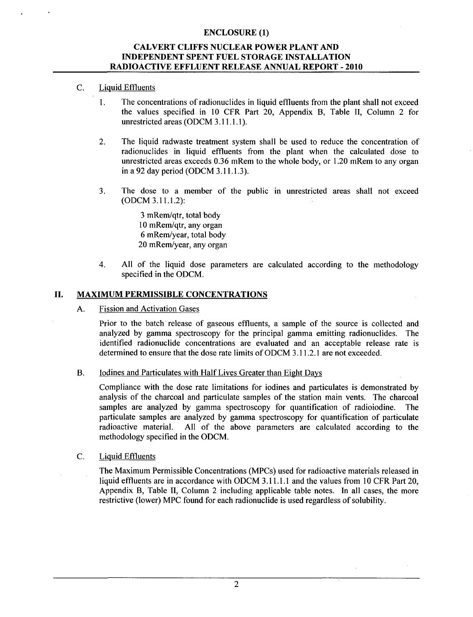## CALVERT **CLIFFS NUCLEAR** POWER **PLANT AND INDEPENDENT SPENT FUEL** STORAGE **INSTALLATION** RADIOACTIVE **EFFLUENT** RELEASE **ANNUAL** REPORT - 2010

## C. Liquid Effluents

- 1. The concentrations of radionuclides in liquid effluents from the plant shall not exceed the values specified in **10** CFR Part 20, Appendix B, Table II, Column 2 for unrestricted areas (ODCM 3.11.1. **1).**
- 2. The liquid radwaste treatment system shall be used to reduce the concentration of radionuclides in liquid effluents from the plant when the calculated dose to unrestricted areas exceeds 0.36 mRem to the whole body, or 1.20 mRem to any organ in a 92 day period (ODCM 3.11.1.3).
- 3. The dose to a member of the public in unrestricted areas shall not exceed (ODCM 3.11.1.2):

3 mRem/qtr, total body 10 mRem/qtr, any organ 6 mRem/year, total body 20 mRem/year, any organ

4. All of the liquid dose parameters are calculated according to the methodology specified in the ODCM.

## **II.** MAXIMUM PERMISSIBLE **CONCENTRATIONS**

## A. Fission and Activation Gases

Prior to the batch release of gaseous effluents, a sample of the source is collected and analyzed by gamma spectroscopy for the principal gamma emitting radionuclides. The identified radionuclide concentrations are evaluated and an acceptable release rate is determined to ensure that the dose rate limits of ODCM 3.11.2.1 are not exceeded.

## B. Iodines and Particulates with Half Lives Greater than Eight Days

Compliance with the dose rate limitations for iodines and particulates is demonstrated by analysis of the charcoal and particulate samples of the station main vents. The charcoal samples are analyzed by gamma spectroscopy for quantification of radioiodine. The particulate samples are analyzed by gamma spectroscopy for quantification of particulate radioactive material. All of the above parameters are calculated according to the methodology specified in the ODCM.

## C. Liquid Effluents

The Maximum Permissible Concentrations (MPCs) used for radioactive materials released in liquid effluents are in accordance with ODCM 3.11.1.1 and the values from 10 CFR Part 20, Appendix B, Table II, Column 2 including applicable table notes. In all cases, the more restrictive (lower) MPC found for each radionuclide is used regardless of solubility.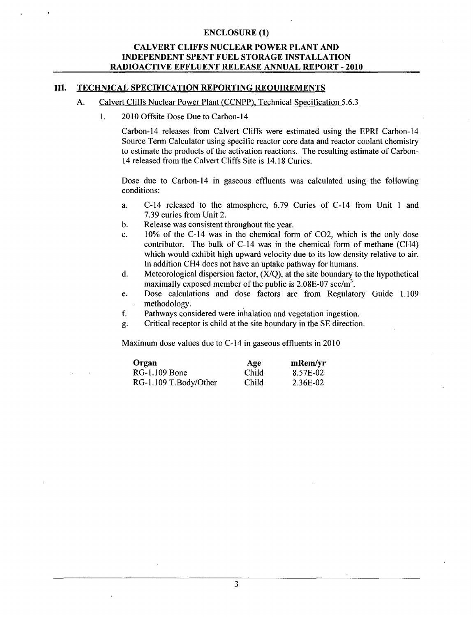## CALVERT **CLIFFS NUCLEAR** POWER **PLANT AND INDEPENDENT SPENT FUEL** STORAGE **INSTALLATION** RADIOACTIVE **EFFLUENT RELEASE ANNUAL** REPORT - 2010

#### **III. TECHNICAL SPECIFICATION** REPORTING **REQUIREMENTS**

- **A.** Calvert Cliffs Nuclear Power Plant (CCNPP), Technical Specification 5.6.3
	- **1 .** 2010 Offsite Dose Due to Carbon-14

Carbon-14 releases from Calvert Cliffs were estimated using the EPRI Carbon-14 Source Term Calculator using specific reactor core data and reactor coolant chemistry to estimate the products of the activation reactions. The resulting estimate of Carbon-14 released from the Calvert Cliffs Site is 14.18 Curies.

Dose due to Carbon-14 in gaseous effluents was calculated using the following conditions:

- a. C-14 released to the atmosphere, 6.79 Curies of C-14 from Unit **I** and 7.39 curies from Unit 2.
- b. Release was consistent throughout the year.
- c. 10% of the C-14 was in the chemical form of C02, which is the only dose contributor. The bulk of C-14 was in the chemical form of methane (CH4) which would exhibit high upward velocity due to its low density relative to air. In addition CH4 does not have an uptake pathway for humans.
- d. Meteorological dispersion factor,  $(X/O)$ , at the site boundary to the hypothetical maximally exposed member of the public is  $2.08E-07$  sec/m<sup>3</sup>.
- e. Dose calculations and dose factors are from Regulatory Guide 1.109 methodology.
- f. Pathways considered were inhalation and vegetation ingestion.
- g. Critical receptor is child at the site boundary in the SE direction.

Maximum dose values due to C-14 in gaseous effluents in 2010

| Organ                 | Age   | mRem/yr  |
|-----------------------|-------|----------|
| RG-1.109 Bone         | Child | 8.57E-02 |
| RG-1.109 T.Body/Other | Child | 2.36E-02 |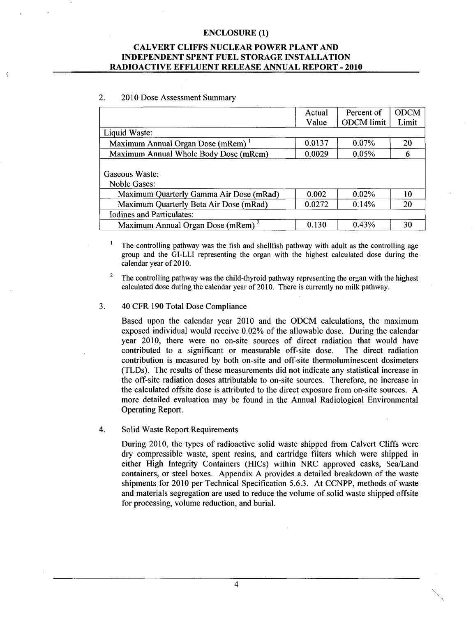## CALVERT **CLIFFS NUCLEAR** POWER **PLANT AND INDEPENDENT SPENT FUEL** STORAGE **INSTALLATION** RADIOACTIVE **EFFLUENT RELEASE ANNUAL** REPORT - 2010

#### 2. 2010 Dose Assessment Summary

|                                               | Actual | Percent of        | <b>ODCM</b> |
|-----------------------------------------------|--------|-------------------|-------------|
|                                               | Value  | <b>ODCM</b> limit | Limit       |
| Liquid Waste:                                 |        |                   |             |
| Maximum Annual Organ Dose (mRem)              | 0.0137 | $0.07\%$          | 20          |
| Maximum Annual Whole Body Dose (mRem)         | 0.0029 | 0.05%             | 6           |
| Gaseous Waste:<br>Noble Gases:                |        |                   |             |
| Maximum Quarterly Gamma Air Dose (mRad)       | 0.002  | 0.02%             | 10          |
| Maximum Quarterly Beta Air Dose (mRad)        | 0.0272 | 0.14%             | 20          |
| <b>Iodines and Particulates:</b>              |        |                   |             |
| Maximum Annual Organ Dose (mRem) <sup>2</sup> | 0.130  | 0.43%             | 30          |

 $\mathbf{1}$ The controlling pathway was the fish and shellfish pathway with adult as the controlling age group and the GI-LLI representing the organ with the highest calculated dose during the calendar year of 2010.

<sup>2</sup> The controlling pathway was the child-thyroid pathway representing the organ with the highest calculated dose during the calendar year of 2010. There is currently no milk pathway.

#### 3. 40 CFR 190 Total Dose Compliance

Based upon the calendar year 2010 and the ODCM calculations, the maximum exposed individual would receive 0.02% of the allowable dose. During the calendar year 2010, there were no on-site sources of direct radiation that would have contributed to a significant or measurable off-site dose. The direct radiation contribution is measured by both on-site and off-site thermoluminescent dosimeters (TLDs). The results of these measurements did not indicate any statistical increase in the off-site radiation doses attributable to on-site sources. Therefore, no increase in the calculated offsite dose is attributed to the direct exposure from on-site sources. A more detailed evaluation may be found in the Annual Radiological Environmental Operating Report.

#### 4. Solid Waste Report Requirements

During 2010, the types of radioactive solid waste shipped from Calvert Cliffs were dry compressible waste, spent resins, and cartridge filters which were shipped in either High Integrity Containers (HICs) within NRC approved casks, Sea/Land containers, or steel boxes. Appendix A provides a detailed breakdown of the waste shipments for 2010 per Technical Specification 5.6.3. At CCNPP, methods of waste and materials segregation are used to reduce the volume of solid waste shipped offsite for processing, volume reduction, and burial.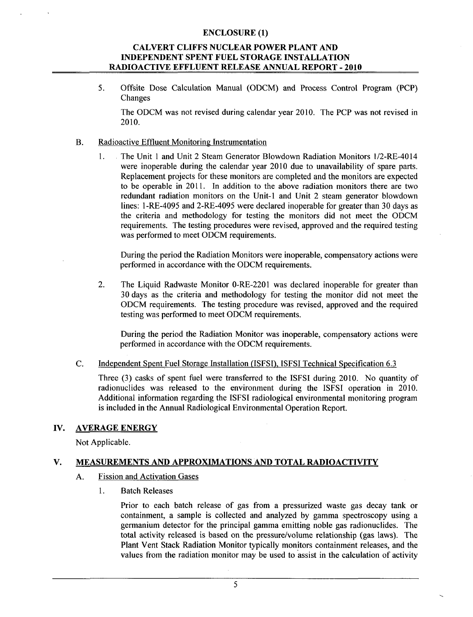## CALVERT **CLIFFS NUCLEAR** POWER **PLANT AND INDEPENDENT SPENT FUEL** STORAGE **INSTALLATION** RADIOACTIVE **EFFLUENT RELEASE ANNUAL** REPORT - 2010

5. Offsite Dose Calculation Manual (ODCM) and Process Control Program (PCP) Changes

The ODCM was not revised during calendar year 2010. The PCP was not revised in 2010.

## B. Radioactive Effluent Monitoring Instrumentation

1. The Unit 1 and Unit 2 Steam Generator Blowdown Radiation Monitors 1/2-RE-4014 were inoperable during the calendar year 2010 due to unavailability of spare parts. Replacement projects for these monitors are completed and the monitors are expected to be operable in 2011. In addition to the above radiation monitors there are two redundant radiation monitors on the Unit-i and Unit 2 steam generator blowdown lines: 1-RE-4095 and 2-RE-4095 were declared inoperable for greater than 30 days as the criteria and methodology for testing the monitors did not meet the ODCM requirements. The testing procedures were revised, approved and the required testing was performed to meet ODCM requirements.

During the period the Radiation Monitors were inoperable, compensatory actions were performed in accordance with the ODCM requirements.

2. The Liquid Radwaste Monitor 0-RE-2201 was declared inoperable for greater than 30 days as the criteria and methodology for testing the monitor did not meet the ODCM requirements. The testing procedure was revised, approved and the required testing was performed to meet ODCM requirements.

During the period the Radiation Monitor was inoperable, compensatory actions were performed in accordance with the ODCM requirements.

#### C. Independent Spent Fuel Storage Installation (ISFSI), ISFSI Technical Specification 6.3

Three (3) casks of spent fuel were transferred to the ISFSI during 2010. No quantity of radionuclides was released to the environment during the ISFSI operation in 2010. Additional information regarding the ISFSI radiological environmental monitoring program is included in the Annual Radiological Environmental Operation Report.

## IV. AVERAGE ENERGY

Not Applicable.

## V. MEASUREMENTS AND APPROXIMATIONS AND TOTAL RADIOACTIVITY

- A. Fission and Activation Gases
	- 1. Batch Releases

Prior to each batch release of gas from a pressurized waste gas decay tank or containment, a sample is collected and analyzed by gamma spectroscopy using a germanium detector for the principal gamma emitting noble gas radionuclides. The total activity released is based on the pressure/volume relationship (gas laws). The Plant Vent Stack Radiation Monitor typically monitors containment releases, and the values from the radiation monitor may be used to assist in the calculation of activity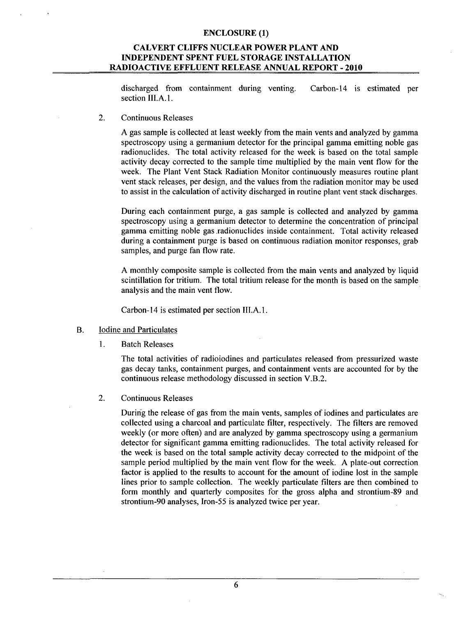## CALVERT **CLIFFS NUCLEAR** POWER **PLANT AND INDEPENDENT SPENT FUEL** STORAGE **INSTALLATION** RADIOACTIVE **EFFLUENT RELEASE ANNUAL** REPORT - 2010

discharged from containment during venting. Carbon-14 is estimated per section **III.A.1**.

2. Continuous Releases

A gas sample is collected at least weekly from the main vents and analyzed by gamma spectroscopy using a germanium detector for the principal gamma emitting noble gas radionuclides. The total activity released for the week is based on the total sample activity decay corrected to the sample time multiplied by the main vent flow for the week. The Plant Vent Stack Radiation Monitor continuously measures routine plant vent stack releases, per design, and the values from the radiation monitor may be used to assist in the calculation of activity discharged in routine plant vent stack discharges.

During each containment purge, a gas sample is collected and analyzed by gamma spectroscopy using a germanium detector to determine the concentration of principal gamma emitting noble gas .radionuclides inside containment. Total activity released during a containment purge is based on continuous radiation monitor responses, grab samples, and purge fan flow rate.

A monthly composite sample is collected from the main vents and analyzed by liquid scintillation for tritium. The total tritium release for the month is based on the sample analysis and the main vent flow.

Carbon-14 is estimated per section III.A. 1.

- B. Iodine and Particulates
	- **I1.** Batch Releases

The total activities of radioiodines and particulates released from pressurized waste gas decay tanks, containment purges, and containment vents are accounted for by the continuous release methodology discussed in section V.B.2.

2. Continuous Releases

During the release of gas from the main vents, samples of iodines and particulates are collected using a charcoal and particulate filter, respectively. The filters are removed weekly (or more often) and are analyzed by gamma spectroscopy using a germanium detector for significant gamma emitting radionuclides. The total activity released for the week is based on the total sample activity decay corrected to the midpoint of the sample period multiplied by the main vent flow for the week. A plate-out correction factor is applied to the results to account for the amount of iodine lost in the sample lines prior to sample collection. The weekly particulate filters are then combined to form monthly and quarterly composites for the gross alpha and strontium-89 and strontium-90 analyses, Iron-55 is analyzed twice per year.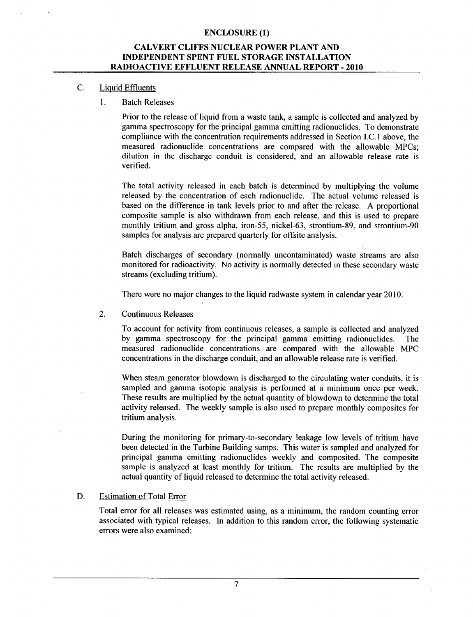## CALVERT **CLIFFS NUCLEAR** POWER **PLANT AND INDEPENDENT SPENT FUEL** STORAGE **INSTALLATION** RADIOACTIVE **EFFLUENT RELEASE ANNUAL** REPORT - 2010

#### C. Liquid Effluents

**1.** Batch Releases

Prior to the release of liquid from a waste tank, a sample is collected and analyzed by gamma spectroscopy for the principal gamma emitting radionuclides. To demonstrate compliance with the concentration requirements addressed in Section I.C. 1 above, the measured radionuclide concentrations are compared with the allowable MPCs; dilution in the discharge conduit is considered, and an allowable release rate is verified.

The total activity released in each batch is determined by multiplying the volume released by the concentration of each radionuclide. The actual volume released is based on the difference in tank levels prior to and after the release. A proportional composite sample is also withdrawn from each release, and this is used to prepare monthly tritium and gross alpha, iron-55, nickel-63, strontium-89, and strontium-90 samples for analysis are prepared quarterly for offsite analysis.

Batch discharges of secondary (normally uncontaminated) waste streams are also monitored for radioactivity. No activity is normally detected in these secondary waste streams (excluding tritium).

There were no major changes to the liquid radwaste system in calendar year 2010.

2. Continuous Releases

To account for activity from continuous releases, a sample is collected and analyzed by gamma spectroscopy for the principal gamma emitting radionuclides. The measured radionuclide concentrations are compared with the allowable MPC concentrations in the discharge conduit, and an allowable release rate is verified.

When steam generator blowdown is discharged to the circulating water conduits, it is sampled and gamma isotopic analysis is performed at a minimum once per week. These results are multiplied by the actual quantity of blowdown to determine the total activity released. The weekly sample is also used to prepare monthly composites for tritium analysis.

During the monitoring for primary-to-secondary leakage low levels of tritium have been detected in the Turbine Building sumps. This water is sampled and analyzed for principal gamma emitting radionuclides weekly and composited. The composite sample is analyzed at least monthly for tritium. The results are multiplied by the actual quantity of liquid released to determine the total activity released.

#### D. Estimation of Total Error

Total error for all releases was estimated using, as a minimum, the random counting error associated with typical releases. In addition to this random error, the following systematic errors were also examined:

**7**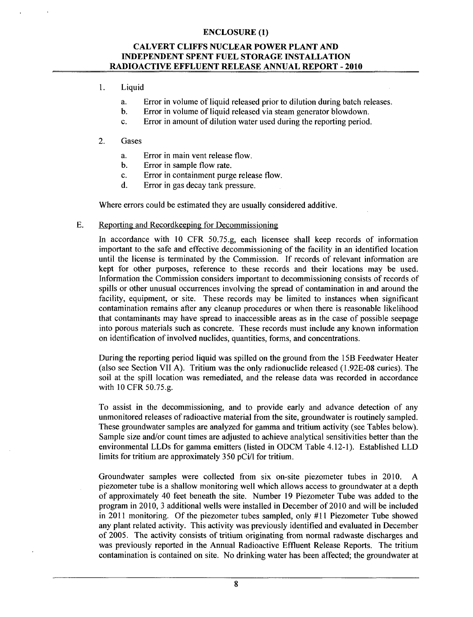## CALVERT **CLIFFS NUCLEAR** POWER **PLANT AND INDEPENDENT SPENT FUEL** STORAGE **INSTALLATION** RADIOACTIVE **EFFLUENT RELEASE ANNUAL** REPORT - 2010

- 1. Liquid
	- a. Error in volume of liquid released prior to dilution during batch releases.
	- b. Error in volume of liquid released via steam generator blowdown.
	- c. Error in amount of dilution water used during the reporting period.

## 2. Gases

- a. Error in main vent release flow.
- b. Error in sample flow rate.
- c. Error in containment purge release flow.
- d. Error in gas decay tank pressure.

Where errors could be estimated they are usually considered additive.

## E. Reporting and Recordkeeping for Decommissioning

In accordance with 10 CFR 50.75.g, each licensee shall keep records of information important to the safe and effective decommissioning of the facility in an identified location until the license is terminated by the Commission. If records of relevant information are kept for other purposes, reference to these records and their locations may be used. Information the Commission considers important to decommissioning consists of records of spills or other unusual occurrences involving the spread of contamination in and around the facility, equipment, or site. These records may be limited to instances when significant contamination remains after any cleanup procedures or when there is reasonable likelihood that contaminants may have spread to inaccessible areas as in the case of possible seepage into porous materials such as concrete. These records must include any known information on identification of involved nuclides, quantities, forms, and concentrations.

During the reporting period liquid was spilled on the ground from the 15B Feedwater Heater (also see Section VII A). Tritium was the only radionuclide released (1.92E-08 curies). The soil at the spill location was remediated, and the release data was recorded in accordance with 10 CFR 50.75.g.

To assist in the decommissioning, and to provide early and advance detection of any unmonitored releases of radioactive material from the site, groundwater is routinely sampled. These groundwater samples are analyzed for gamma and tritium activity (see Tables below). Sample size and/or count times are adjusted to achieve analytical sensitivities better than the environmental LLDs for gamma emitters (listed in ODCM Table 4.12-1). Established LLD limits for tritium are approximately 350 pCi/I for tritium.

Groundwater samples were collected from six on-site piezometer tubes in 2010. A piezometer tube is a shallow monitoring well which allows access to groundwater at a depth of approximately 40 feet beneath the site. Number 19 Piezometer Tube was added to the program in 2010, 3 additional wells were installed in December of 2010 and will be included in 2011 monitoring. Of the piezometer tubes sampled, only **#I** 1 Piezometer Tube showed any plant related activity. This activity was previously identified and evaluated in December of 2005. The activity consists of tritium originating from normal radwaste discharges and was previously reported in the Annual Radioactive Effluent Release Reports. The tritium contamination is contained on site. No drinking water has been affected; the groundwater at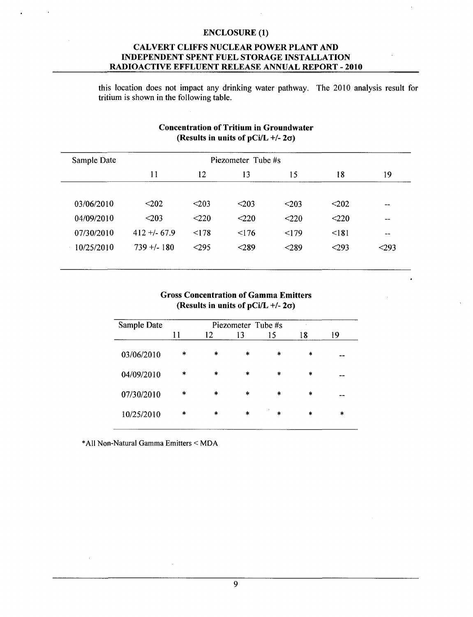## CALVERT **CLIFFS NUCLEAR** POWER **PLANT AND INDEPENDENT SPENT FUEL** STORAGE **INSTALLATION** RADIOACTIVE **EFFLUENT RELEASE ANNUAL** REPORT - 2010

this location does not impact any drinking water pathway. The 2010 analysis result for tritium is shown in the following table.

| Sample Date |              | Piezometer Tube #s |       |            |         |       |  |  |  |
|-------------|--------------|--------------------|-------|------------|---------|-------|--|--|--|
|             | 11           | 12                 | 13    | 15         | 18      | 19    |  |  |  |
| 03/06/2010  | $202$        | $203$              | $203$ | $\leq$ 203 | $202$   | $- -$ |  |  |  |
| 04/09/2010  | $203$        | < 220              | < 220 | $<$ 220    | $<$ 220 | --    |  |  |  |
| 07/30/2010  | $412 + 67.9$ | < 178              | 176   | < 179      | <181    | $- -$ |  |  |  |
| 10/25/2010  | $739 + 180$  | < 295              | < 289 | < 289      | < 293   | $293$ |  |  |  |

## Concentration of Tritium in Groundwater (Results in units of pCi/L **+/-** 2a)

## Gross Concentration of Gamma Emitters (Results in units of pCi/L **+/-** 2a)

| Sample Date | Piezometer Tube #s |        |        |         |                         |        |  |  |
|-------------|--------------------|--------|--------|---------|-------------------------|--------|--|--|
|             | 11                 | 12     | 13     | 15      | 18                      | 19     |  |  |
| 03/06/2010  | $\ast$             | *      | $\ast$ | $\ast$  | $\ast$                  |        |  |  |
| 04/09/2010  | $\ast$             | $\ast$ | $\ast$ | $\star$ | $\mathbf{a}_\mathbf{k}$ |        |  |  |
| 07/30/2010  | $\ast$             | $\ast$ | $\ast$ | $\star$ | $\ast$                  |        |  |  |
| 10/25/2010  | $\ast$             | *      | $\ast$ | $\star$ | $\ast$                  | $\ast$ |  |  |

\*All Non-Natural Gamma Emitters < MDA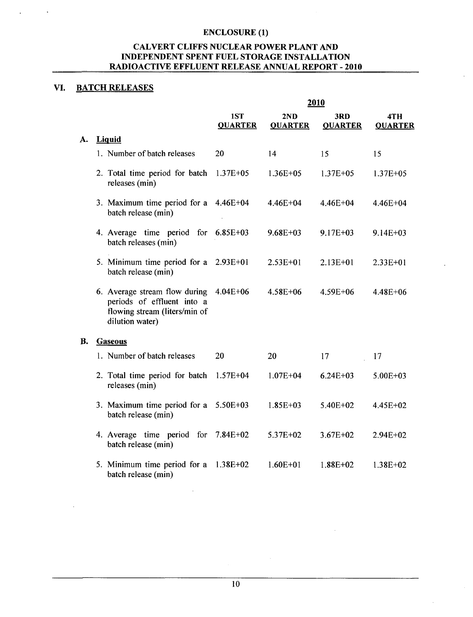## CALVERT CLIFFS NUCLEAR POWER PLANT AND INDEPENDENT SPENT FUEL STORAGE INSTALLATION RADIOACTIVE EFFLUENT RELEASE ANNUAL REPORT - 2010

## VI. BATCH RELEASES

|           |                                                                                                                 | <u>2010</u>           |                       |                       |                       |  |  |  |
|-----------|-----------------------------------------------------------------------------------------------------------------|-----------------------|-----------------------|-----------------------|-----------------------|--|--|--|
|           |                                                                                                                 | 1ST<br><b>QUARTER</b> | 2ND<br><b>QUARTER</b> | 3RD<br><b>QUARTER</b> | 4TH<br><b>QUARTER</b> |  |  |  |
| A.        | <b>Liquid</b>                                                                                                   |                       |                       |                       |                       |  |  |  |
|           | 1. Number of batch releases                                                                                     | 20                    | 14                    | 15                    | 15                    |  |  |  |
|           | 2. Total time period for batch<br>releases (min)                                                                | $1.37E + 05$          | $1.36E + 05$          | $1.37E + 05$          | $1.37E + 05$          |  |  |  |
|           | 3. Maximum time period for a<br>batch release (min)                                                             | $4.46E + 04$          | 4.46E+04              | $4.46E + 04$          | 4.46E+04              |  |  |  |
|           | 4. Average time period for<br>batch releases (min)                                                              | $6.85E+03$            | $9.68E + 03$          | $9.17E + 03$          | $9.14E + 03$          |  |  |  |
|           | 5. Minimum time period for a<br>batch release (min)                                                             | $2.93E+01$            | $2.53E + 01$          | $2.13E + 01$          | $2.33E + 01$          |  |  |  |
|           | 6. Average stream flow during<br>periods of effluent into a<br>flowing stream (liters/min of<br>dilution water) | 4.04E+06              | 4.58E+06              | 4.59E+06              | 4.48E+06              |  |  |  |
| <b>B.</b> | <b>Gaseous</b>                                                                                                  |                       |                       |                       |                       |  |  |  |
|           | 1. Number of batch releases                                                                                     | 20                    | 20                    | 17                    | 17                    |  |  |  |
|           | 2. Total time period for batch<br>releases (min)                                                                | $1.57E + 04$          | $1.07E + 04$          | $6.24E + 03$          | $5.00E + 03$          |  |  |  |
|           | 3. Maximum time period for a<br>batch release (min)                                                             | 5.50E+03              | $1.85E+03$            | 5.40E+02              | 4.45E+02              |  |  |  |
|           | 4. Average time period for<br>batch release (min)                                                               | $7.84E+02$            | 5.37E+02              | $3.67E + 02$          | $2.94E + 02$          |  |  |  |
|           | 5. Minimum time period for a<br>batch release (min)                                                             | $1.38E + 02$          | $1.60E + 01$          | $1.88E + 02$          | $1.38E + 02$          |  |  |  |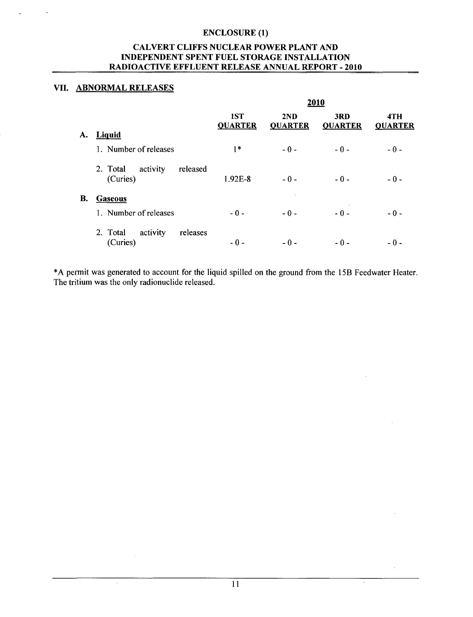## CALVERT **CLIFFS NUCLEAR** POWER **PLANT AND INDEPENDENT SPENT FUEL** STORAGE **INSTALLATION** RADIOACTIVE **EFFLUENT RELEASE ANNUAL** REPORT - 2010

## VII. ABNORMAL **RELEASES**

 $\overline{\mathcal{L}}$ 

|    |                                              |                       | 2010                  |                       |                       |  |  |  |  |
|----|----------------------------------------------|-----------------------|-----------------------|-----------------------|-----------------------|--|--|--|--|
|    |                                              | 1ST<br><b>QUARTER</b> | 2ND<br><b>QUARTER</b> | 3RD<br><b>QUARTER</b> | 4TH<br><b>QUARTER</b> |  |  |  |  |
| A. | <b>Liquid</b>                                |                       |                       |                       |                       |  |  |  |  |
|    | 1. Number of releases                        | $1*$                  | $-0-$                 | $-0-$                 | $-0-$                 |  |  |  |  |
|    | activity<br>released<br>2. Total<br>(Curies) | 1.92E-8               | $-0-$                 | $-0-$                 | $-0-$                 |  |  |  |  |
| В. | <b>Gaseous</b>                               |                       |                       |                       |                       |  |  |  |  |
|    | 1. Number of releases                        | $-0-$                 | $-0-$                 | $-0-$                 | $-0-$                 |  |  |  |  |
|    | activity<br>releases<br>2. Total<br>(Curies) | $-0-$                 | $-0-$                 | $-0-$                 | - 0 -                 |  |  |  |  |

\*A permit was generated to account for the liquid spilled on the ground from the 15B Feedwater Heater. The tritium was the only radionuclide released.

 $\overline{a}$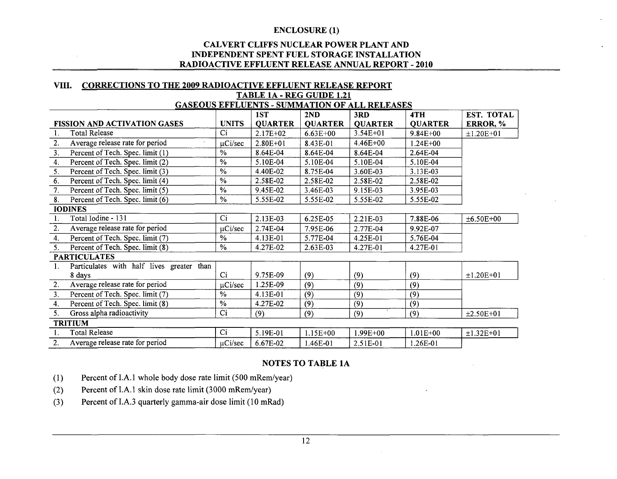## **CALVERT CLIFFS NUCLEAR POWER PLANT AND INDEPENDENT SPENT FUEL STORAGE INSTALLATION RADIOACTIVE EFFLUENT RELEASE ANNUAL REPORT - 2010**

## VIII. CORRECTIONS TO **THE 2009** RADIOACTIVE **EFFLUENT RELEASE** REPORT TABLE 1A - REG **GUIDE** 1.21 **GASEOUS EFFLUENTS** - **SUMMATION** OF **ALL RELEASES**

|                                                    |               | 1ST            | 2ND            | 3RD            | 4TH            | EST. TOTAL       |
|----------------------------------------------------|---------------|----------------|----------------|----------------|----------------|------------------|
| <b>FISSION AND ACTIVATION GASES</b>                | <b>UNITS</b>  | <b>QUARTER</b> | <b>QUARTER</b> | <b>QUARTER</b> | <b>QUARTER</b> | ERROR, %         |
| <b>Total Release</b><br>1.                         | Ci            | $2.17E+02$     | $6.63E + 00$   | $3.54E + 01$   | $9.84E + 00$   | $±1.20E+01$      |
| Average release rate for period<br>2.              | $\mu$ Ci/sec  | $2.80E+01$     | 8.43E-01       | 4.46E+00       | $1.24E + 00$   |                  |
| Percent of Tech. Spec. limit (1)<br>3.             | $\%$          | 8.64E-04       | 8.64E-04       | 8.64E-04       | 2.64E-04       |                  |
| Percent of Tech. Spec. limit (2)<br>4.             | $\%$          | 5.10E-04       | 5.10E-04       | 5.10E-04       | 5.10E-04       |                  |
| Percent of Tech. Spec. limit (3)<br>5.             | $\frac{0}{0}$ | 4.40E-02       | 8.75E-04       | 3.60E-03       | 3.13E-03       |                  |
| Percent of Tech. Spec. limit (4)<br>6.             | $\%$          | 2.58E-02       | 2.58E-02       | 2.58E-02       | 2.58E-02       |                  |
| 7.<br>Percent of Tech. Spec. limit (5)             | $\frac{0}{0}$ | 9.45E-02       | 3.46E-03       | 9.15E-03       | 3.95E-03       |                  |
| Percent of Tech. Spec. limit (6)<br>8.             | $\%$          | 5.55E-02       | 5.55E-02       | 5.55E-02       | 5.55E-02       |                  |
| <b>IODINES</b>                                     |               |                |                |                |                |                  |
| Total Iodine - 131<br>1.                           | Ci            | 2.13E-03       | 6.25E-05       | 2.21E-03       | 7.88E-06       | $±6.50E+00$      |
| 2.<br>Average release rate for period              | $\mu$ Ci/sec  | 2.74E-04       | 7.95E-06       | 2.77E-04       | 9.92E-07       |                  |
| Percent of Tech. Spec. limit (7)<br>4.             | $\%$          | 4.13E-01       | 5.77E-04       | 4.25E-01       | 5.76E-04       |                  |
| Percent of Tech. Spec. limit (8)<br>5.             | $\frac{0}{6}$ | 4.27E-02       | 2.63E-03       | 4.27E-01       | 4.27E-01       |                  |
| <b>PARTICULATES</b>                                |               |                |                |                |                |                  |
| Particulates with half lives greater than<br>1.    |               |                |                |                |                |                  |
| 8 days                                             | Ci            | 9.75E-09       | (9)            | (9)            | (9)            | $±1.20E+01$      |
| Average release rate for period<br>2.              | $\mu$ Ci/sec  | 1.25E-09       | (9)            | (9)            | (9)            |                  |
| Percent of Tech. Spec. limit (7)<br>3 <sub>1</sub> | $\frac{0}{0}$ | 4.13E-01       | (9)            | (9)            | (9)            |                  |
| Percent of Tech. Spec. limit (8)<br>4.             | $\frac{0}{6}$ | 4.27E-02       | (9)            | (9)            | (9)            |                  |
| Gross alpha radioactivity<br>5.                    | Ci            | (9)            | (9)            | (9)            | (9)            | $\pm 2.50E + 01$ |
| <b>TRITIUM</b>                                     |               |                |                |                |                |                  |
| <b>Total Release</b><br>1.                         | Ci            | 5.19E-01       | $1.15E+00$     | $1.99E + 00$   | $1.01E + 00$   | $±1.32E+01$      |
| 2.<br>Average release rate for period              | $\mu$ Ci/sec  | 6.67E-02       | 1.46E-01       | 2.51E-01       | 1.26E-01       |                  |

## **NOTES** TO **TABLE 1A**

- (1) Percent of I.A. 1 whole body dose rate limit (500 mRem/year)
- (2) Percent of I.A. **I** skin dose rate limit (3000 mRem/year)
- (3) Percent of I.A.3 quarterly gamma-air dose limit (10 mRad)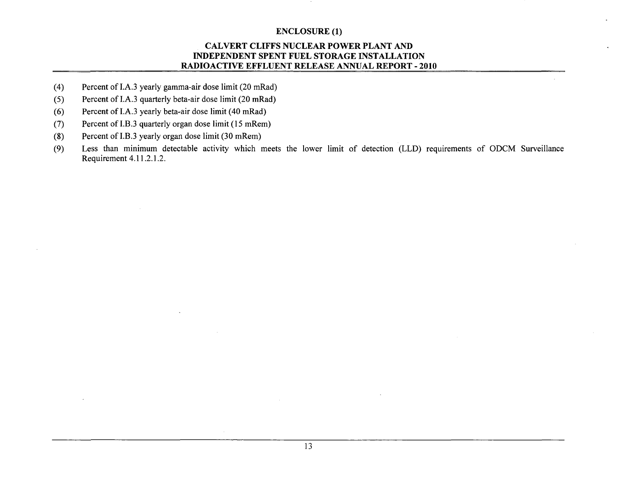## CALVERT **CLIFFS NUCLEAR** POWER **PLANT AND INDEPENDENT SPENT FUEL** STORAGE **INSTALLATION** RADIOACTIVE **EFFLUENT RELEASE ANNUAL** REPORT - 2010

- (4) Percent of I.A.3 yearly gamma-air dose limit (20 mRad)
- (5) Percent of I.A.3 quarterly beta-air dose limit (20 mRad)
- (6) Percent of I.A.3 yearly beta-air dose limit (40 mRad)
- (7) Percent of I.B.3 quarterly organ dose limit (15 mRem)
- (8) Percent of I.B.3 yearly organ dose limit (30 mRem)
- (9) Less than minimum detectable activity which meets the lower limit of detection (LLD) requirements of ODCM Surveillance Requirement 4.11.2.1.2.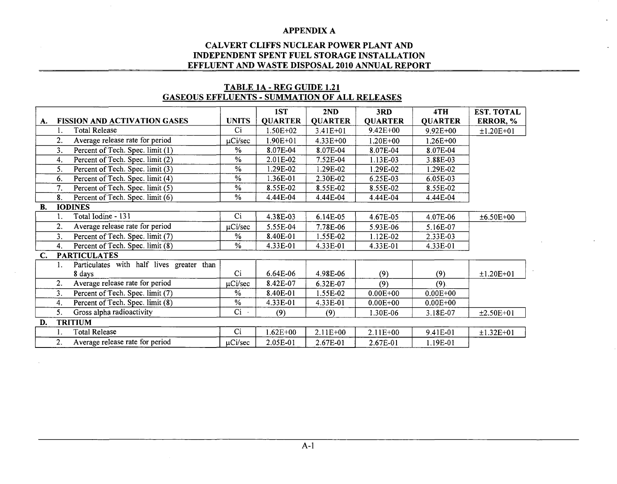## CALVERT **CLIFFS NUCLEAR** POWER **PLANT AND INDEPENDENT SPENT FUEL** STORAGE **INSTALLATION EFFLUENT AND** WASTE **DISPOSAL** 2010 **ANNUAL** REPORT

## TABLE **1A** - REG **GUIDE** 1.21 **GASEOUS EFFLUENTS** - **SUMMATION** OF **ALL RELEASES**

|           |                |                                           |               | 1ST            | 2ND            | 3RD            | 4TH            | <b>EST. TOTAL</b> |
|-----------|----------------|-------------------------------------------|---------------|----------------|----------------|----------------|----------------|-------------------|
| А.        |                | <b>FISSION AND ACTIVATION GASES</b>       | <b>UNITS</b>  | <b>QUARTER</b> | <b>QUARTER</b> | <b>QUARTER</b> | <b>QUARTER</b> | ERROR, %          |
|           | 1.             | <b>Total Release</b>                      | Ci            | $1.50E + 02$   | 3.41E+01       | $9.42E + 00$   | $9.92E + 00$   | $±1.20E+01$       |
|           | 2.             | Average release rate for period           | $\mu$ Ci/sec  | $1.90E + 01$   | $4.33E + 00$   | $1.20E + 00$   | 1.26E+00       |                   |
|           | 3.             | Percent of Tech. Spec. limit (1)          | $\%$          | 8.07E-04       | 8.07E-04       | 8.07E-04       | 8.07E-04       |                   |
|           | 4.             | Percent of Tech. Spec. limit (2)          | $\frac{0}{0}$ | 2.01E-02       | 7.52E-04       | 1.13E-03       | 3.88E-03       |                   |
|           | 5.             | Percent of Tech. Spec. limit (3)          | $\%$          | 1.29E-02       | 1.29E-02       | 1.29E-02       | 1.29E-02       |                   |
|           | 6.             | Percent of Tech. Spec. limit (4)          | $\%$          | 1.36E-01       | 2.30E-02       | 6.25E-03       | 6.05E-03       |                   |
|           | 7.             | Percent of Tech. Spec. limit (5)          | %             | 8.55E-02       | 8.55E-02       | 8.55E-02       | 8.55E-02       |                   |
|           | 8.             | Percent of Tech. Spec. limit (6)          | $\%$          | 4.44E-04       | 4.44E-04       | 4.44E-04       | 4.44E-04       |                   |
| <b>B.</b> |                | <b>IODINES</b>                            |               |                |                |                |                |                   |
|           |                | Total Iodine - 131                        | Ci            | 4.38E-03       | 6.14E-05       | 4.67E-05       | 4.07E-06       | ±6.50E+00         |
|           | 2.             | Average release rate for period           | uCi/sec       | 5.55E-04       | 7.78E-06       | 5.93E-06       | 5.16E-07       |                   |
|           | 3 <sub>1</sub> | Percent of Tech. Spec. limit (7)          | %             | 8.40E-01       | 1.55E-02       | 1.12E-02       | 2.33E-03       |                   |
|           | 4.             | Percent of Tech. Spec. limit (8)          | $\%$          | 4.33E-01       | 4.33E-01       | 4.33E-01       | 4.33E-01       |                   |
| C.        |                | <b>PARTICULATES</b>                       |               |                |                |                |                |                   |
|           | 1.             | Particulates with half lives greater than |               |                |                |                |                |                   |
|           |                | 8 days                                    | Ci.           | 6.64E-06       | 4.98E-06       | (9)            | (9)            | $±1.20E+01$       |
|           | 2.             | Average release rate for period           | $\mu$ Ci/sec  | 8.42E-07       | 6.32E-07       | (9)            | (9)            |                   |
|           | 3.             | Percent of Tech. Spec. limit (7)          | $\%$          | 8.40E-01       | 1.55E-02       | $0.00E + 00$   | $0.00E + 00$   |                   |
|           | 4.             | Percent of Tech. Spec. limit (8)          | $\%$          | 4.33E-01       | 4.33E-01       | $0.00E + 00$   | $0.00E + 00$   |                   |
|           | 5.             | Gross alpha radioactivity                 | $Ci -$        | (9)            | (9)            | 1.30E-06       | 3.18E-07       | $±2.50E+01$       |
| D.        |                | <b>TRITIUM</b>                            |               |                |                |                |                |                   |
|           |                | Total Release                             | Ci            | $1.62E + 00$   | $2.11E+00$     | $2.11E + 00$   | 9.41E-01       | $±1.32E+01$       |
|           | 2.             | Average release rate for period           | $\mu$ Ci/sec  | 2.05E-01       | 2.67E-01       | 2.67E-01       | 1.19E-01       |                   |
|           |                |                                           |               |                |                |                |                |                   |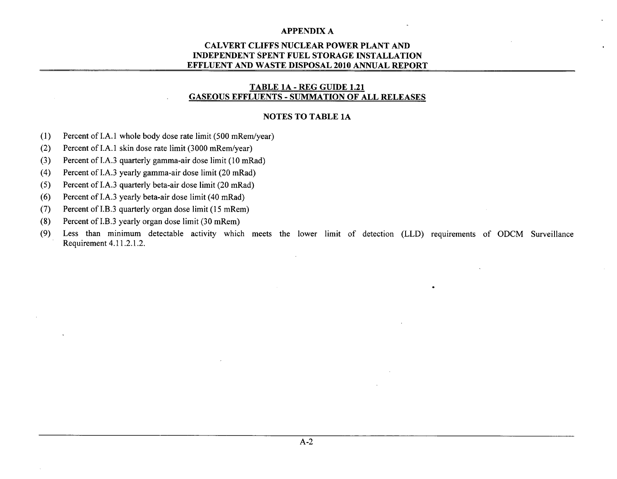## CALVERT **CLIFFS NUCLEAR** POWER **PLANT AND INDEPENDENT SPENT FUEL** STORAGE **INSTALLATION EFFLUENT AND** WASTE **DISPOSAL** 2010 **ANNUAL** REPORT

## TABLE **1A** - REG GUIDE 1.21 **GASEOUS EFFLUENTS** - **SUMMATION** OF **ALL RELEASES**

#### **NOTES** TO TABLE **1A**

- (1) Percent of I.A. 1 whole body dose rate limit (500 mRem/year)
- (2) Percent of I.A.1 skin dose rate limit (3000 mRem/year)
- (3) Percent of I.A.3 quarterly gamma-air dose limit (10 mRad)
- (4) Percent of I.A.3 yearly gamma-air dose limit (20 mRad)
- *(5)* Percent of I.A.3 quarterly beta-air dose limit (20 mRad)
- (6) Percent of I.A.3 yearly beta-air dose limit (40 mRad)
- (7) Percent of I.B.3 quarterly organ dose limit (15 mRem)
- (8) Percent of I.B.3 yearly organ dose limit (30 mRem)
- (9) Less than minimum detectable activity which meets the lower limit of detection (LLD) requirements of ODCM Surveillance Requirement 4.11.2.1.2.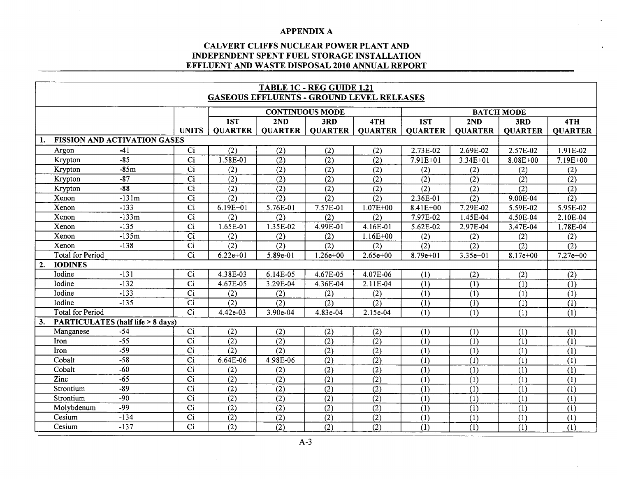$\mathcal{L}$ 

## **CALVERT CLIFFS NUCLEAR POWER PLANT AND INDEPENDENT SPENT FUEL STORAGE INSTALLATION EFFLUENT AND WASTE DISPOSAL 2010 ANNUAL REPORT**

| <b>TABLE 1C - REG GUIDE 1.21</b><br><b>GASEOUS EFFLUENTS - GROUND LEVEL RELEASES</b> |                                             |                 |                  |                  |                        |                  |                  |                  |                   |                  |  |  |
|--------------------------------------------------------------------------------------|---------------------------------------------|-----------------|------------------|------------------|------------------------|------------------|------------------|------------------|-------------------|------------------|--|--|
|                                                                                      |                                             |                 |                  |                  | <b>CONTINUOUS MODE</b> |                  |                  |                  | <b>BATCH MODE</b> |                  |  |  |
|                                                                                      |                                             |                 | 1ST              | 2ND              | 3RD                    | 4TH              | 1ST              | 2ND              | 3RD               | 4TH              |  |  |
|                                                                                      |                                             | <b>UNITS</b>    | <b>QUARTER</b>   | <b>QUARTER</b>   | <b>QUARTER</b>         | <b>QUARTER</b>   | <b>QUARTER</b>   | <b>OUARTER</b>   | <b>QUARTER</b>    | <b>QUARTER</b>   |  |  |
| $1_{\cdot}$                                                                          | <b>FISSION AND ACTIVATION GASES</b>         |                 |                  |                  |                        |                  |                  |                  |                   |                  |  |  |
| Argon                                                                                | $-41$                                       | Ci              | $\overline{(2)}$ | (2)              | $\overline{(2)}$       | (2)              | 2.73E-02         | 2.69E-02         | 2.57E-02          | 1.91E-02         |  |  |
| Krypton                                                                              | $-85$                                       | $\overline{Ci}$ | 1.58E-01         | (2)              | (2)                    | (2)              | $7.91E + 01$     | $3.34E + 01$     | $8.08E + 00$      | $7.19E + 00$     |  |  |
| Krypton                                                                              | $-85m$                                      | $\overline{Ci}$ | (2)              | $\overline{(2)}$ | $\overline{(2)}$       | $\overline{(2)}$ | (2)              | (2)              | (2)               | (2)              |  |  |
| Krypton                                                                              | $-87$                                       | $\overline{Ci}$ | $\overline{(2)}$ | (2)              | $\overline{(2)}$       | $\overline{(2)}$ | $\overline{(2)}$ | $\overline{(2)}$ | $\overline{(2)}$  | $\overline{(2)}$ |  |  |
| Krypton                                                                              | $-88$                                       | $\overline{Ci}$ | $\overline{(2)}$ | $\overline{(2)}$ | $\overline{(2)}$       | $\overline{(2)}$ | $\overline{(2)}$ | (2)              | $\overline{(2)}$  | $\overline{(2)}$ |  |  |
| Xenon                                                                                | $-131m$                                     | $\overline{Ci}$ | $\overline{(2)}$ | $\overline{(2)}$ | $\overline{(2)}$       | $\overline{(2)}$ | 2.36E-01         | $\overline{(2)}$ | 9.00E-04          | $\overline{(2)}$ |  |  |
| Xenon                                                                                | $-133$                                      | $\overline{Ci}$ | $6.19E + 01$     | 5.76E-01         | $7.57E-01$             | $1.07E + 00$     | $8.41E + 00$     | 7.29E-02         | 5.59E-02          | 5.95E-02         |  |  |
| Xenon                                                                                | $-133m$                                     | $\overline{Ci}$ | (2)              | (2)              | (2)                    | (2)              | 7.97E-02         | 1.45E-04         | 4.50E-04          | 2.10E-04         |  |  |
| Xenon                                                                                | $-135$                                      | $\overline{Ci}$ | 1.65E-01         | 1.35E-02         | 4.99E-01               | 4.16E-01         | 5.62E-02         | 2.97E-04         | 3.47E-04          | 1.78E-04         |  |  |
| Xenon                                                                                | $-135m$                                     | $\overline{Ci}$ | (2)              | (2)              | (2)                    | $1.16E + 00$     | (2)              | (2)              | (2)               | (2)              |  |  |
| Xenon                                                                                | $-138$                                      | $\overline{Ci}$ | (2)              | $\overline{(2)}$ | $\overline{(2)}$       | (2)              | $\overline{(2)}$ | $\overline{(2)}$ | $\overline{(2)}$  | $\overline{(2)}$ |  |  |
| <b>Total for Period</b>                                                              |                                             | Ci              | $6.22e+01$       | 5.89e-01         | $1.26e + 00$           | $2.65e+00$       | $8.79e+01$       | $3.35e + 01$     | $8.17e+00$        | $7.27e+00$       |  |  |
| 2.<br><b>IODINES</b>                                                                 |                                             |                 |                  |                  |                        |                  |                  |                  |                   |                  |  |  |
| Iodine                                                                               | $-131$                                      | $\overline{Ci}$ | 4.38E-03         | $6.14E-05$       | 4.67E-05               | 4.07E-06         | (1)              | (2)              | (2)               | (2)              |  |  |
| Iodine                                                                               | $-132$                                      | $\overline{Ci}$ | 4.67E-05         | 3.29E-04         | 4.36E-04               | 2.11E-04         | $\overline{(1)}$ | $\overline{(1)}$ | (1)               | $\overline{(1)}$ |  |  |
| Iodine                                                                               | $-133$                                      | $\overline{Ci}$ | (2)              | (2)              | (2)                    | (2)              | $\overline{(1)}$ | $\overline{(1)}$ | (1)               | $\overline{(1)}$ |  |  |
| Iodine                                                                               | $-135$                                      | $\overline{Ci}$ | (2)              | (2)              | (2)                    | (2)              | (1)              | (1)              | (1)               | (1)              |  |  |
| <b>Total for Period</b>                                                              |                                             | $\overline{Ci}$ | 4.42e-03         | 3.90e-04         | 4.83e-04               | 2.15e-04         | (1)              | (1)              | (1)               | (1)              |  |  |
| 3.                                                                                   | <b>PARTICULATES (half life &gt; 8 days)</b> |                 |                  |                  |                        |                  |                  |                  |                   |                  |  |  |
| Manganese                                                                            | $-54$                                       | Ci              | (2)              | (2)              | (2)                    | (2)              | (1)              | (1)              | (1)               | (1)              |  |  |
| Iron                                                                                 | $-55$                                       | $\overline{Ci}$ | $\overline{(2)}$ | $\overline{(2)}$ | $\overline{(2)}$       | (2)              | (1)              | (1)              | (1)               | (1)              |  |  |
| Iron                                                                                 | $-59$                                       | $\overline{Ci}$ | $\overline{(2)}$ | $\overline{(2)}$ | (2)                    | $\overline{(2)}$ | (1)              | $\overline{(1)}$ | (1)               | $\overline{(1)}$ |  |  |
| Cobalt                                                                               | $-58$                                       | $\overline{Ci}$ | 6.64E-06         | 4.98E-06         | $\overline{(2)}$       | $\overline{(2)}$ | (1)              | $\overline{(1)}$ | $\overline{(1)}$  | $\overline{(1)}$ |  |  |
| Cobalt                                                                               | $-60$                                       | C <sub>i</sub>  | (2)              | (2)              | (2)                    | (2)              | (1)              | (1)              | (1)               | (1)              |  |  |
| Zinc                                                                                 | $-65$                                       | Ci              | (2)              | (2)              | (2)                    | (2)              | (1)              | (1)              | (1)               | (1)              |  |  |
| Strontium                                                                            | $-89$                                       | Ci              | (2)              | (2)              | (2)                    | (2)              | (1)              | (1)              | (1)               | (1)              |  |  |
| Strontium                                                                            | $-90$                                       | $\overline{Ci}$ | (2)              | (2)              | (2)                    | (2)              | (1)              | (1)              | (1)               | (1)              |  |  |
| Molybdenum                                                                           | $-99$                                       | $\overline{Ci}$ | (2)              | $\overline{(2)}$ | (2)                    | (2)              | (1)              | (1)              | (1)               | (1)              |  |  |
| Cesium                                                                               | $-134$                                      | $\overline{Ci}$ | $\overline{(2)}$ | $\overline{(2)}$ | (2)                    | (2)              | $\overline{(1)}$ | $\overline{(1)}$ | (1)               | (1)              |  |  |
| Cesium                                                                               | $-137$                                      | $\overline{Ci}$ | $\overline{(2)}$ | $\overline{(2)}$ | $\overline{(2)}$       | $\overline{(2)}$ | $\overline{(1)}$ | $\overline{(1)}$ | (1)               | (1)              |  |  |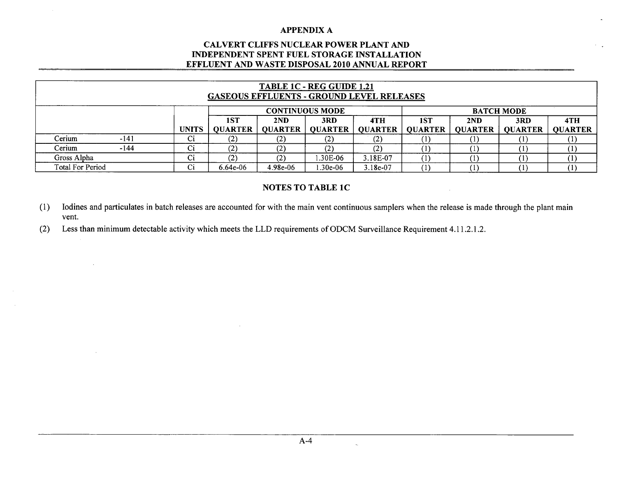## CALVERT **CLIFFS NUCLEAR** POWER **PLANT AND INDEPENDENT SPENT FUEL** STORAGE **INSTALLATION EFFLUENT AND** WASTE **DISPOSAL** 2010 **ANNUAL** REPORT

| TABLE 1C - REG GUIDE 1.21<br><b>GASEOUS EFFLUENTS - GROUND LEVEL RELEASES</b> |      |              |                   |                |                        |                |                |                |                   |                |  |
|-------------------------------------------------------------------------------|------|--------------|-------------------|----------------|------------------------|----------------|----------------|----------------|-------------------|----------------|--|
|                                                                               |      |              |                   |                | <b>CONTINUOUS MODE</b> |                |                |                | <b>BATCH MODE</b> |                |  |
|                                                                               |      |              | 1ST               | 2ND            | 3RD                    | 4TH            | 1ST            | 2ND            | 3RD               | 4TH            |  |
|                                                                               |      | <b>UNITS</b> | <b>QUARTER</b>    | <b>OUARTER</b> | <b>OUARTER</b>         | <b>OUARTER</b> | <b>OUARTER</b> | <b>OUARTER</b> | <b>QUARTER</b>    | <b>QUARTER</b> |  |
| Cerium                                                                        | -141 | Ci           | $\left( 2\right)$ | (2)            | $\sim$                 | (2)            |                |                |                   |                |  |
| Cerium                                                                        | -144 | Ci           | $\left( 2\right)$ | (2)            |                        | (2)            |                |                |                   |                |  |
| Gross Alpha                                                                   |      | Ci           | $\left( 2\right)$ | (2)            | .30E-06                | 3.18E-07       |                |                |                   |                |  |
| Total For Period                                                              | Ci   | $6.64e-06$   | 4.98e-06          | $.30e-06$      | $3.18e-07$             |                |                |                |                   |                |  |

## NOTES TO TABLE **IC**

(1) lodines and particulates in batch releases are accounted for with the main vent continuous samplers when the release is made through the plant main vent.

(2) Less than minimum detectable activity which meets the LLD requirements of ODCM Surveillance Requirement 4.11.2.1.2.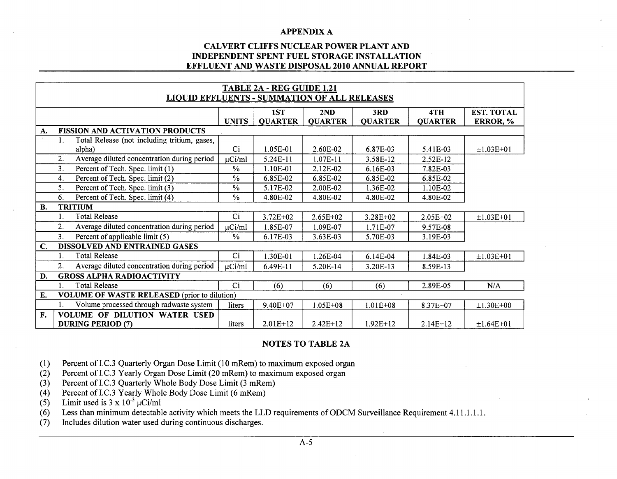## CALVERT **CLIFFS NUCLEAR** POWER **PLANT AND INDEPENDENT SPENT FUEL** STORAGE **INSTALLATION EFFLUENT AND** WASTE **DISPOSAL** 2010 **ANNUAL** REPORT

|           | TABLE 2A - REG GUIDE 1.21                     |                                                     |              |                |                |                |                |             |  |  |  |  |
|-----------|-----------------------------------------------|-----------------------------------------------------|--------------|----------------|----------------|----------------|----------------|-------------|--|--|--|--|
|           |                                               | <b>LIQUID EFFLUENTS - SUMMATION OF ALL RELEASES</b> |              |                |                |                |                |             |  |  |  |  |
|           | <b>EST. TOTAL</b><br>1ST<br>4TH<br>2ND<br>3RD |                                                     |              |                |                |                |                |             |  |  |  |  |
|           |                                               |                                                     | <b>UNITS</b> | <b>QUARTER</b> | <b>QUARTER</b> | <b>QUARTER</b> | <b>QUARTER</b> | ERROR, %    |  |  |  |  |
| A.        |                                               | <b>FISSION AND ACTIVATION PRODUCTS</b>              |              |                |                |                |                |             |  |  |  |  |
|           | 1.                                            | Total Release (not including tritium, gases,        |              |                |                |                |                |             |  |  |  |  |
|           |                                               | alpha)                                              | $\rm Ci$     | 1.05E-01       | 2.60E-02       | 6.87E-03       | 5.41E-03       | $±1.03E+01$ |  |  |  |  |
|           | 2.                                            | Average diluted concentration during period         | $\mu$ Ci/ml  | 5.24E-11       | 1.07E-11       | 3.58E-12       | 2.52E-12       |             |  |  |  |  |
|           | 3.                                            | Percent of Tech. Spec. limit (1)                    | $\%$         | 1.10E-01       | 2.12E-02       | $6.16E-03$     | 7.82E-03       |             |  |  |  |  |
|           | 4.                                            | Percent of Tech. Spec. limit (2)                    | $\%$         | 6.85E-02       | 6.85E-02       | 6.85E-02       | 6.85E-02       |             |  |  |  |  |
|           | 5.                                            | Percent of Tech. Spec. limit (3)                    | $\%$         | 5.17E-02       | 2.00E-02       | 1.36E-02       | 1.10E-02       |             |  |  |  |  |
|           | 6.                                            | Percent of Tech. Spec. limit (4)                    | $\%$         | 4.80E-02       | 4.80E-02       | 4.80E-02       | 4.80E-02       |             |  |  |  |  |
| <b>B.</b> |                                               | <b>TRITIUM</b>                                      |              |                |                |                |                |             |  |  |  |  |
|           |                                               | <b>Total Release</b>                                | Ci           | $3.72E + 02$   | $2.65E + 02$   | $3.28E + 02$   | $2.05E+02$     | $±1.03E+01$ |  |  |  |  |
|           | 2.                                            | Average diluted concentration during period         | uCi/ml       | 1.85E-07       | 1.09E-07       | 1.71E-07       | 9.57E-08       |             |  |  |  |  |
|           | 3 <sub>1</sub>                                | Percent of applicable limit (5)                     | %            | 6.17E-03       | 3.63E-03       | 5.70E-03       | 3.19E-03       |             |  |  |  |  |
| C.        |                                               | <b>DISSOLVED AND ENTRAINED GASES</b>                |              |                |                |                |                |             |  |  |  |  |
|           |                                               | <b>Total Release</b>                                | Ci           | 1.30E-01       | 1.26E-04       | 6.14E-04       | 1.84E-03       | $±1.03E+01$ |  |  |  |  |
|           | 2.                                            | Average diluted concentration during period         | $\mu$ Ci/ml  | 6.49E-11       | 5.20E-14       | 3.20E-13       | 8.59E-13       |             |  |  |  |  |
| D.        |                                               | <b>GROSS ALPHA RADIOACTIVITY</b>                    |              |                |                |                |                |             |  |  |  |  |
|           |                                               | <b>Total Release</b>                                | Ci           | (6)            | (6)            | (6)            | 2.89E-05       | N/A         |  |  |  |  |
| E.        |                                               | <b>VOLUME OF WASTE RELEASED</b> (prior to dilution) |              |                |                |                |                |             |  |  |  |  |
|           |                                               | Volume processed through radwaste system            | liters       | 9.40E+07       | $1.05E + 08$   | $1.01E + 08$   | 8.37E+07       | $±1.30E+00$ |  |  |  |  |
| F.        |                                               | VOLUME OF DILUTION WATER USED                       |              |                |                |                |                |             |  |  |  |  |
|           |                                               | <b>DURING PERIOD (7)</b>                            | liters       | $2.01E+12$     | $2.42E+12$     | $1.92E+12$     | $2.14E+12$     | $±1.64E+01$ |  |  |  |  |

## **NOTES** TO TABLE **2A**

- (1) Percent of I.C.3 Quarterly Organ Dose Limit (10 mRem) to maximum exposed organ
- (2) Percent of I.C.3 Yearly Organ Dose Limit (20 mRem) to maximum exposed organ
- (3) Percent of I.C.3 Quarterly Whole Body Dose Limit (3 mRem)
- (4) Percent of I.C.3 Yearly Whole Body Dose Limit (6 mRem)
- (5) Limit used is  $3 \times 10^{-3}$   $\mu$ Ci/ml
- (6) Less than minimum detectable activity which meets the LLD requirements of ODCM Surveillance Requirement 4.11.1 1.1.
- (7) Includes dilution water used during continuous discharges.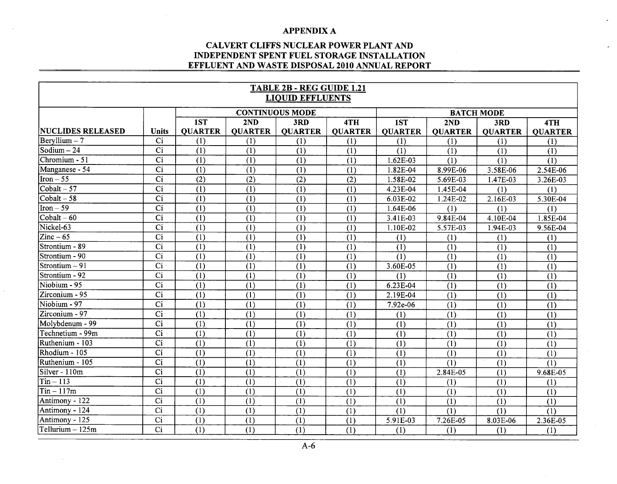## **CAL VERT CLIFFS NUCLEAR POWER PLANT AND INDEPENDENT SPENT FUEL STORAGE INSTALLATION EFFLUENT AND WASTE DISPOSAL 2010 ANNUAL REPORT**

 $\mathbf{r}$ 

| <b>TABLE 2B - REG GUIDE 1.21</b> |                        |                        |                  |                  |                   |                  |                  |                |                  |
|----------------------------------|------------------------|------------------------|------------------|------------------|-------------------|------------------|------------------|----------------|------------------|
| <b>LIQUID EFFLUENTS</b>          |                        |                        |                  |                  |                   |                  |                  |                |                  |
|                                  |                        | <b>CONTINUOUS MODE</b> |                  |                  | <b>BATCH MODE</b> |                  |                  |                |                  |
|                                  |                        | 1ST                    | 2ND              | 3RD              | 4TH               | 1ST              | 2ND              | 3RD            | 4TH              |
| NUCLIDES RELEASED                | Units                  | <b>QUARTER</b>         | <b>QUARTER</b>   | <b>QUARTER</b>   | <b>QUARTER</b>    | <b>QUARTER</b>   | <b>QUARTER</b>   | <b>QUARTER</b> | <b>QUARTER</b>   |
| $\text{Bervllium} - 7$           | Ci                     | (1)                    | (1)              | (1)              | (1)               | (1)              | (1)              | (1)            | (1)              |
| Sodium - 24                      | $\overline{Ci}$        | (1)                    | (1)              | (1)              | (1)               | (1)              | (1)              | (1)            | (1)              |
| Chromium - 51                    | $\overline{Ci}$        | (1)                    | (1)              | (1)              | (1)               | 1.62E-03         | (1)              | (1)            | (1)              |
| Manganese - 54                   | $\overline{Ci}$        | (1)                    | (1)              | (1)              | (1)               | 1.82E-04         | 8.99E-06         | 3.58E-06       | 2.54E-06         |
| $\boxed{\text{Iron} - 55}$       | $\overline{Ci}$        | $\overline{(2)}$       | (2)              | (2)              | (2)               | 1.58E-02         | 5.69E-03         | 1.47E-03       | 3.26E-03         |
| $\overline{\text{Cobalt}} - 57$  | $\overline{Ci}$        | $\overline{(1)}$       | $\overline{(1)}$ | (1)              | (1)               | 4.23E-04         | 1.45E-04         | (1)            | (1)              |
| $\overline{\text{Cobalt} - 58}$  | $\overline{Ci}$        | (1)                    | (1)              | (1)              | (1)               | 6.03E-02         | 1.24E-02         | 2.16E-03       | 5.30E-04         |
| $\overline{\text{Iron}} - 59$    | $\overline{Ci}$        | (1)                    | (1)              | (1)              | $\overline{(1)}$  | 1.64E-06         | (1)              | (1)            | (1)              |
| $\overline{\text{Cobalt} - 60}$  | $\overline{Ci}$        | $\overline{(1)}$       | (1)              | $\overline{(1)}$ | (1)               | 3.41E-03         | 9.84E-04         | 4.10E-04       | 1.85E-04         |
| Nickel-63                        | $\overline{Ci}$        | $\overline{(1)}$       | (1)              | (1)              | $\overline{(1)}$  | 1.10E-02         | 5.57E-03         | 1.94E-03       | 9.56E-04         |
| $\overline{\text{Zinc}-65}$      | $\overline{Ci}$        | $\overline{(1)}$       | $\overline{(1)}$ | $\overline{(1)}$ | $\overline{(1)}$  | (1)              | (1)              | (1)            | (1)              |
| Strontium - 89                   | $\overline{C}$         | $\overline{(1)}$       | (1)              | $\overline{(1)}$ | $\overline{(1)}$  | (1)              | $\overline{(1)}$ | (1)            | (1)              |
| Strontium - 90                   | $\overline{\text{Ci}}$ | $\overline{(1)}$       | $\overline{(1)}$ | (1)              | (1)               | $\overline{(1)}$ | (1)              | (1)            | $\overline{(1)}$ |
| Strontium - 91                   | Ci                     | (1)                    | (1)              | (1)              | (1)               | 3.60E-05         | (1)              | (1)            | (1)              |
| Strontium - 92                   | Ci                     | (1)                    | (1)              | (1)              | (1)               | (1)              | (1)              | (1)            | (1)              |
| Niobium - 95                     | $\overline{Ci}$        | $\overline{(1)}$       | (1)              | $\overline{(1)}$ | (1)               | 6.23E-04         | (1)              | (1)            | (1)              |
| Zirconium - 95                   | $\overline{Ci}$        | $\overline{(1)}$       | (1)              | (1)              | (1)               | 2.19E-04         | (1)              | (1)            | (1)              |
| Niobium - 97                     | $\overline{Ci}$        | (1)                    | (1)              | (1)              | (1)               | 7.92e-06         | (1)              | (1)            | (1)              |
| Zirconium - 97                   | $\overline{Ci}$        | (1)                    | (1)              | (1)              | (1)               | (1)              | (1)              | (1)            | (1)              |
| Molybdenum - 99                  | $\overline{Ci}$        | (1)                    | (1)              | (1)              | (1)               | (1)              | (1)              | (1)            | (1)              |
| Technetium - 99m                 | $\overline{Ci}$        | (1)                    | (1)              | (1)              | (1)               | (1)              | (1)              | (1)            | (1)              |
| Ruthenium - 103                  | $\overline{Ci}$        | (1)                    | (1)              | (1)              | (1)               | (1)              | (1)              | (1)            | (1)              |
| Rhodium - 105                    | $\overline{Ci}$        | $\overline{(1)}$       | (1)              | (1)              | (1)               | $\overline{(1)}$ | (1)              | (1)            | (1)              |
| Ruthenium - 105                  | $\overline{Ci}$        | $\overline{(1)}$       | (1)              | $\overline{(1)}$ | (1)               | (1)              | (1)              | (1)            | (1)              |
| Silver - 110m                    | $\overline{Ci}$        | $\overline{1}$         | (1)              | (1)              | (1)               | (1)              | 2.84E-05         | (1)            | 9.68E-05         |
| $Tin - 113$                      | $\overline{Ci}$        | $\overline{(1)}$       | (1)              | (1)              | (1)               | (1)              | (1)              | (1)            | (1)              |
| $Tin - 117m$                     | $\overline{Ci}$        | (1)                    | (1)              | (1)              | (1)               | (1)              | (1)              | (1)            | (1)              |
| Antimony - 122                   | $\overline{Ci}$        | (1)                    | (1)              | (1)              | (1)               | (1)              | (1)              | (1)            | (1)              |
| Antimony - 124                   | $\overline{Ci}$        | (1)                    | (1)              | (1)              | (1)               | (1)              | (1)              | (1)            | (1)              |
| Antimony - 125                   | $\overline{ci}$        | (1)                    | (1)              | (1)              | (1)               | 5.91E-03         | 7.26E-05         | 8.03E-06       | 2.36E-05         |
| $Tellurium - 125m$               | $\overline{Ci}$        | $\overline{(1)}$       | (1)              | (1)              | (1)               | (1)              | (1)              | (1)            | (1)              |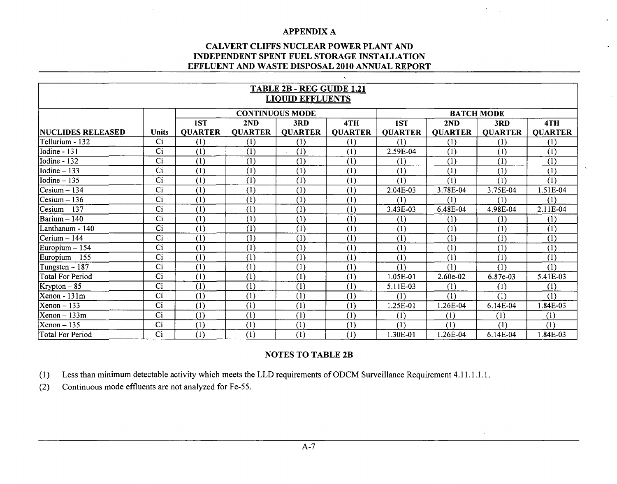## **CALVERT CLIFFS NUCLEAR POWER PLANT AND INDEPENDENT SPENT FUEL STORAGE INSTALLATION EFFLUENT AND WASTE DISPOSAL 2010 ANNUAL REPORT**

| TABLE 2B - REG GUIDE 1.21<br><b>LIQUID EFFLUENTS</b> |                 |                |                        |                |                |                   |                |                |                |
|------------------------------------------------------|-----------------|----------------|------------------------|----------------|----------------|-------------------|----------------|----------------|----------------|
|                                                      |                 |                | <b>CONTINUOUS MODE</b> |                |                | <b>BATCH MODE</b> |                |                |                |
|                                                      |                 | 1ST            | 2ND                    | 3RD            | 4TH            | 1ST               | 2ND            | 3RD            | 4TH            |
| <b>NUCLIDES RELEASED</b>                             | <b>Units</b>    | <b>QUARTER</b> | <b>QUARTER</b>         | <b>QUARTER</b> | <b>QUARTER</b> | <b>QUARTER</b>    | <b>QUARTER</b> | <b>QUARTER</b> | <b>QUARTER</b> |
| Tellurium - 132                                      | Ci              | (1)            | (1)                    | (1)            | (1)            | (1)               | (1)            | (1)            | (1)            |
| Iodine - 131                                         | Ci              | (1)            | (1)                    | (1)            | (1)            | 2.59E-04          | (1)            | (1)            | (1)            |
| Iodine - 132                                         | $\overline{Ci}$ | (1)            | (1)                    | (1)            | (1)            | (1)               | (1)            | (1)            | (1)            |
| Iodine $-133$                                        | $\overline{Ci}$ | (1)            | (1)                    | (1)            | (1)            | (1)               | (1)            | (1)            | (1)            |
| $Iodine - 135$                                       | Ci              | (1)            | (1)                    | (1)            | (1)            | (1)               | (1)            | (1)            | (1)            |
| $Cesium - 134$                                       | Ci              | (1)            | (1)                    | (1)            | (1)            | 2.04E-03          | 3.78E-04       | 3.75E-04       | 1.51E-04       |
| $Cesium - 136$                                       | Ci              | (1)            | (1)                    | (1)            | (1)            | (1)               | (1)            | (1)            | (1)            |
| $Cesium - 137$                                       | Ci              | (1)            | (1)                    | (1)            | (1)            | 3.43E-03          | 6.48E-04       | 4.98E-04       | 2.11E-04       |
| Barium $-140$                                        | $\overline{Ci}$ | (1)            | $\overline{(1)}$       | (1)            | (1)            | (1)               | (1)            | (1)            | (1)            |
| Lanthanum - 140                                      | Ci              | (1)            | (1)                    | (1)            | (1)            | (1)               | (1)            | (1)            | (1)            |
| $Cerium - 144$                                       | Ci              | (1)            | (1)                    | (1)            | (1)            | (1)               | (1)            | (1)            | (1)            |
| Europium $-154$                                      | Ci              | (1)            | (1)                    | (1)            | (1)            | (1)               | (1)            | (1)            | (1)            |
| Europium - 155                                       | Ci              | (1)            | (1)                    | (1)            | (1)            | (1)               | (1)            | (1)            | (1)            |
| Tungsten - 187                                       | $\overline{Ci}$ | (1)            | $\overline{(1)}$       | (1)            | (1)            | (1)               | (1)            | (1)            | (1)            |
| <b>Total For Period</b>                              | Ci              | (1)            | (1)                    | (1)            | (1)            | 1.05E-01          | 2.60e-02       | 6.87e-03       | 5.41E-03       |
| Krypton - 85                                         | Ci              | (1)            | (1)                    | (1)            | (1)            | 5.11E-03          | (1)            | (1)            | (1)            |
| Xenon - 131m                                         | Ci              | (1)            | (1)                    | (1)            | (1)            | (1)               | (1)            | (1)            | (1)            |
| $Xenon - 133$                                        | Ci              | (1)            | (1)                    | (1)            | (1)            | .25E-01           | .26E-04        | 6.14E-04       | 1.84E-03       |
| $Xenon - 133m$                                       | Ci              | (1)            | (1)                    | (1)            | (1)            | (1)               | (1)            | (1)            | (1)            |
| $Xenon-135$                                          | Ci              | (1)            | (1)                    | (1)            | (1)            | (1)               | (1)            | (1)            | (1)            |
| Total For Period                                     | Ci              | (1)            | (1)                    | (1)            | (1)            | 1.30E-01          | 1.26E-04       | 6.14E-04       | 1.84E-03       |

## NOTES TO TABLE 2B

(1) Less than minimum detectable activity which meets the LLD requirements of ODCM Surveillance Requirement 4.11.1 .1 .1.

(2) Continuous mode effluents are not analyzed for Fe-55.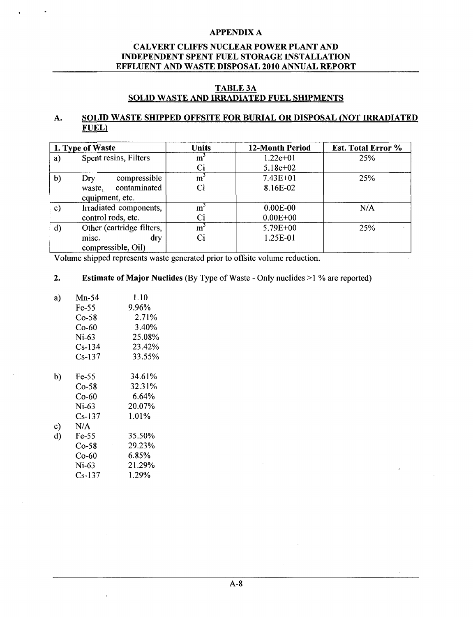## CALVERT **CLIFFS NUCLEAR** POWER **PLANT AND INDEPENDENT SPENT FUEL** STORAGE **INSTALLATION EFFLUENT AND** WASTE **DISPOSAL** 2010 **ANNUAL** REPORT

## **TABLE 3A SOLID** WASTE **AND** IRRADIATED **FUEL SHIPMENTS**

## **A. SOLID** WASTE **SHIPPED OFFSITE** FOR BURIAL OR **DISPOSAL (NOT** IRRADIATED **FUEL)**

|               | 1. Type of Waste          | <b>Units</b>   | <b>12-Month Period</b> | <b>Est. Total Error %</b> |
|---------------|---------------------------|----------------|------------------------|---------------------------|
| a)            | Spent resins, Filters     | m              | $1.22e+01$             | 25%                       |
|               |                           | Ci             | $5.18e+02$             |                           |
| $\mathbf{b}$  | compressible<br>Dry       | $m^3$          | $7.43E + 01$           | 25%                       |
|               | contaminated<br>waste,    | Ci             | 8.16E-02               |                           |
|               | equipment, etc.           |                |                        |                           |
| $\mathbf{c})$ | Irradiated components,    | m <sup>3</sup> | $0.00E-00$             | N/A                       |
|               | control rods, etc.        | Ci             | $0.00E + 00$           |                           |
| $\mathbf{d}$  | Other (cartridge filters, | m <sup>2</sup> | $5.79E + 00$           | 25%                       |
|               | dry<br>misc.              |                | 1.25E-01               |                           |
|               | compressible, Oil)        |                |                        |                           |

Volume shipped represents waste generated prior to offsite volume reduction.

## 2. Estimate of Major Nuclides (By Type of Waste - Only nuclides **>1** % are reported)

| a) | $Mn-54$  | 1.10     |
|----|----------|----------|
|    | Fe-55    | 9.96%    |
|    | $Co-58$  | 2.71%    |
|    | Co-60    | 3.40%    |
|    | Ni-63    | 25.08%   |
|    | Cs-134   | 23.42%   |
|    | $Cs-137$ | 33.55%   |
| b) | Fe-55    | 34.61%   |
|    | $Co-58$  | 32.31%   |
|    | Co-60    | $6.64\%$ |
|    | $Ni-63$  | 20.07%   |
|    | Cs-137   | 1.01%    |
| c) | N/A      |          |
| d) | Fe-55    | 35.50%   |
|    | Co-58    | 29.23%   |
|    | Co-60    | 6.85%    |
|    | Ni-63    | 21.29%   |
|    | Cs-137   | 1.29%    |